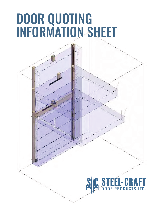## DOOR QUOTING INFORMATION SHEET

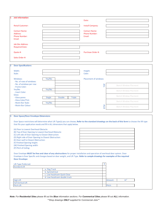| 1                    | <b>Job Information</b>                                                                                                                                                                                                                                                          |        |               |               | Date:                                        |            |                                                                                                                                                          |  |  |
|----------------------|---------------------------------------------------------------------------------------------------------------------------------------------------------------------------------------------------------------------------------------------------------------------------------|--------|---------------|---------------|----------------------------------------------|------------|----------------------------------------------------------------------------------------------------------------------------------------------------------|--|--|
|                      |                                                                                                                                                                                                                                                                                 |        |               |               |                                              |            |                                                                                                                                                          |  |  |
|                      | <b>Retail Customer:</b>                                                                                                                                                                                                                                                         |        |               |               | Install Company:                             |            |                                                                                                                                                          |  |  |
|                      |                                                                                                                                                                                                                                                                                 |        |               |               |                                              |            |                                                                                                                                                          |  |  |
|                      | <b>Contact Name:</b><br>Address:                                                                                                                                                                                                                                                |        |               |               | <b>Contact Name:</b><br><b>Phone Number:</b> |            |                                                                                                                                                          |  |  |
|                      | <b>Phone Number:</b>                                                                                                                                                                                                                                                            |        |               |               | Email:                                       |            |                                                                                                                                                          |  |  |
|                      | Email:                                                                                                                                                                                                                                                                          |        |               |               |                                              |            |                                                                                                                                                          |  |  |
|                      | <b>Job Site Address:</b>                                                                                                                                                                                                                                                        |        |               |               |                                              |            |                                                                                                                                                          |  |  |
|                      | <b>Required Date:</b>                                                                                                                                                                                                                                                           |        |               |               |                                              |            |                                                                                                                                                          |  |  |
|                      |                                                                                                                                                                                                                                                                                 |        |               |               |                                              |            |                                                                                                                                                          |  |  |
|                      | Quote #:                                                                                                                                                                                                                                                                        |        |               |               | Purchase Order #:                            |            |                                                                                                                                                          |  |  |
|                      | Sales Order #:                                                                                                                                                                                                                                                                  |        |               |               |                                              |            |                                                                                                                                                          |  |  |
| 2                    | <b>Door Specifications</b>                                                                                                                                                                                                                                                      |        |               |               |                                              |            |                                                                                                                                                          |  |  |
|                      |                                                                                                                                                                                                                                                                                 |        |               |               |                                              |            |                                                                                                                                                          |  |  |
|                      | Width:                                                                                                                                                                                                                                                                          |        |               |               | Height:                                      |            |                                                                                                                                                          |  |  |
|                      | Style:                                                                                                                                                                                                                                                                          |        |               |               | Color:                                       |            |                                                                                                                                                          |  |  |
|                      | Windows:                                                                                                                                                                                                                                                                        | Yes/No |               |               | <b>Placement of windows:</b>                 |            |                                                                                                                                                          |  |  |
|                      | - No. of rows of windows:                                                                                                                                                                                                                                                       |        |               |               |                                              |            |                                                                                                                                                          |  |  |
|                      | - No. of windows per row:                                                                                                                                                                                                                                                       |        |               |               |                                              | TOP        | Sketch Window Placment                                                                                                                                   |  |  |
|                      | - Frame Color:<br>Yes/No                                                                                                                                                                                                                                                        | Yes/No |               |               |                                              |            |                                                                                                                                                          |  |  |
|                      | - Insert Color:                                                                                                                                                                                                                                                                 |        |               |               |                                              |            | Sketch Window Placment                                                                                                                                   |  |  |
|                      | Glass:                                                                                                                                                                                                                                                                          |        |               |               |                                              |            | Sketch Window Placment                                                                                                                                   |  |  |
|                      | - Glass panes                                                                                                                                                                                                                                                                   | Single | <b>Double</b> | <b>Triple</b> |                                              |            |                                                                                                                                                          |  |  |
|                      | - Glass Color/Tint:<br>- Mutin Bar Style:                                                                                                                                                                                                                                       | Yes/No |               |               |                                              |            | Sketch Window Placment                                                                                                                                   |  |  |
|                      | - Mutin Bar Colour:                                                                                                                                                                                                                                                             |        |               |               |                                              | <b>BTM</b> | Sketch Window Placment                                                                                                                                   |  |  |
|                      |                                                                                                                                                                                                                                                                                 |        |               |               |                                              |            |                                                                                                                                                          |  |  |
|                      |                                                                                                                                                                                                                                                                                 |        |               |               |                                              |            |                                                                                                                                                          |  |  |
| 3                    | <b>Door Space/Door Envelope Dimensions</b>                                                                                                                                                                                                                                      |        |               |               |                                              |            |                                                                                                                                                          |  |  |
|                      |                                                                                                                                                                                                                                                                                 |        |               |               |                                              |            |                                                                                                                                                          |  |  |
|                      |                                                                                                                                                                                                                                                                                 |        |               |               |                                              |            | Door Space restrictions will determine what Lift Type(s) you can choose, Refer to the standard drawings on the back of this form to choose the lift type |  |  |
|                      | that fits your application needs and fill in ALL dimensions that apply below.                                                                                                                                                                                                   |        |               |               |                                              |            |                                                                                                                                                          |  |  |
|                      | (A) Floor to Lowest Overhead Obstacle:                                                                                                                                                                                                                                          |        |               |               |                                              |            |                                                                                                                                                          |  |  |
|                      | (B) Top of Door Opening to Lowest Overhead Obstacle:<br>(C) Left side of Door Opening to Closest Obstruction:<br>(D) Right side of Door Opening to Closest Obstruction:<br>(E) Door wall to Closest Obstruction:<br>(F) Finished Opening height:<br>(W) Finished Opening width: |        |               |               |                                              |            |                                                                                                                                                          |  |  |
|                      |                                                                                                                                                                                                                                                                                 |        |               |               |                                              |            |                                                                                                                                                          |  |  |
|                      |                                                                                                                                                                                                                                                                                 |        |               |               |                                              |            |                                                                                                                                                          |  |  |
|                      |                                                                                                                                                                                                                                                                                 |        |               |               |                                              |            |                                                                                                                                                          |  |  |
|                      |                                                                                                                                                                                                                                                                                 |        |               |               |                                              |            |                                                                                                                                                          |  |  |
|                      | (P) Pitch of Ceiling:                                                                                                                                                                                                                                                           |        |               |               |                                              |            |                                                                                                                                                          |  |  |
|                      | Door Envelope MUST be free and clear of any obstructions for proper installation and operation of overhead door system. Door                                                                                                                                                    |        |               |               |                                              |            |                                                                                                                                                          |  |  |
|                      | Envelope is Door Specific and changes based on door weight, and Lift Type. Refer to sample drawings for examples of the required                                                                                                                                                |        |               |               |                                              |            |                                                                                                                                                          |  |  |
| <b>Door Envelope</b> |                                                                                                                                                                                                                                                                                 |        |               |               |                                              |            |                                                                                                                                                          |  |  |
|                      |                                                                                                                                                                                                                                                                                 |        |               |               |                                              | X          |                                                                                                                                                          |  |  |
|                      | Lift Type Preferred:<br>Standard Lift                                                                                                                                                                                                                                           |        |               |               |                                              |            |                                                                                                                                                          |  |  |

| ______________________    |                              |  |         |      |
|---------------------------|------------------------------|--|---------|------|
| <b>Standard Lift</b>      |                              |  |         |      |
|                           | a. Flag Track                |  |         |      |
|                           | b. Symmetrical               |  |         |      |
|                           | c. Low headroom Quick Close  |  |         |      |
|                           | d. Low headroom double track |  |         |      |
| <b>High Lift</b>          |                              |  | Amount: | XX'' |
| <b>Full Vertical Lift</b> |                              |  |         |      |
| <b>Pitch Lift</b>         |                              |  | Pitch:  |      |

*Note: For Residential Sites please fill out the Blue information sections. For Commerical Sites please fill out ALL information.*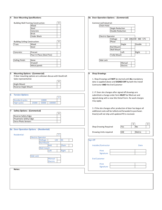| <b>Door Mounting Specifications</b><br>4                     | 8a Door Operation Options - (Commercial)                      |
|--------------------------------------------------------------|---------------------------------------------------------------|
|                                                              |                                                               |
| <b>Building Wall Framing Construction:</b><br>X              | Commercial/Industrial:                                        |
| Wood                                                         | Chain Hoist                                                   |
| Steel                                                        | Single Reduction                                              |
| Concrete                                                     | Double Reduction                                              |
| <b>Brick</b><br><b>Cinder Block</b>                          | <b>Electric Operator</b>                                      |
|                                                              | 120 208/240 480 575<br>Voltage                                |
| <b>Building Ceiling Construction:</b><br>X                   | Phase                                                         |
| <b>Wood</b><br>Truss:                                        | Single<br>Double                                              |
| Steel                                                        | <b>Rail Mount</b>                                             |
|                                                              | <b>Wall Mount</b>                                             |
| Concrete:<br>Precast                                         | Left<br>Right                                                 |
| Pour In Place (Steel Pan)                                    | <b>Trolly Mount</b>                                           |
|                                                              |                                                               |
| Ceiling Finish:<br>None                                      | Side Lock                                                     |
| Drywall                                                      | Manual                                                        |
| Metal panels                                                 | Electric                                                      |
|                                                              |                                                               |
| <b>Mounting Options - (Commercial)</b>                       | 9<br><b>Shop Drawings</b>                                     |
| If door mounting options are unknown discuss with SteelCraft |                                                               |
| Sales representative                                         | 1. Shop Drawings will NOT be started until ALL mandatory      |
| X                                                            | data is supplied above and SIGNED OFF by both the Install     |
| Angle Mount                                                  | Contractor AND the End Customer                               |
| Reverse Angle Mount                                          |                                                               |
|                                                              |                                                               |
|                                                              | 2. If Door site changes after signed off drawings are         |
| <b>Torsion Options</b>                                       | submitted a change order form MUST be filled out and          |
| X                                                            | signed along with a new Site Detail Form. Re-work charges     |
| <b>Standard cycles</b><br>10000                              | may apply.                                                    |
| <b>High cycles</b><br>25000<br>50000<br>100000               |                                                               |
|                                                              |                                                               |
|                                                              | 3. If the site changes after production of door has begun all |
| <b>Safety Options - (Commerical)</b><br>X                    | additional costs will be tallied and forwaded to purchaser.   |
| Reverse Safety Edge                                          | Door(s) will not ship until updated PO is received.           |
| Pnuematic Safety Edge                                        |                                                               |
| <b>Extra Photo Sensors</b>                                   |                                                               |
|                                                              | $\overline{\mathsf{x}}$<br>х                                  |
|                                                              | No<br>Shop Drawing Required<br>Yes                            |
| 8a Door Operation Options - (Residential)                    |                                                               |
|                                                              | SAE<br>Drawing Units required<br>Metric                       |
| Residential:<br>Χ                                            |                                                               |
| <b>Electric Operator</b>                                     |                                                               |
| 120<br>240<br>Voltage                                        | Sign Off                                                      |
| <b>Rail Mount</b>                                            |                                                               |
| <b>Belt</b><br>Chain                                         | Installer/Contractor<br><b>Date</b>                           |
| <b>Wall mount</b>                                            |                                                               |
| Left<br><b>Right</b>                                         | Print                                                         |
|                                                              | Signature                                                     |
| <b>Side Lock</b>                                             |                                                               |
| Manual                                                       | <b>End Customer</b>                                           |
| Electric                                                     |                                                               |
|                                                              | Print                                                         |
| Notes:                                                       | Signature                                                     |
|                                                              |                                                               |
|                                                              |                                                               |
|                                                              |                                                               |
|                                                              |                                                               |
|                                                              |                                                               |